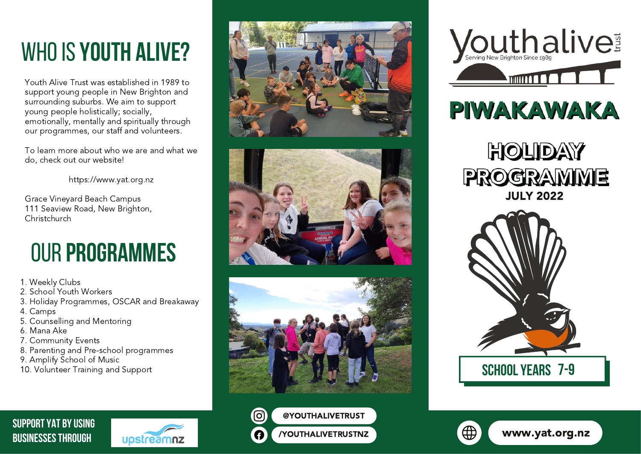# whoIS **YOUTH ALIVE?**

Youth Alive Trust was established in 1989 to support young people in New Brighton and surrounding suburbs. We aim to support young people holistically; socially, emotionally, mentally and spiritually through our programmes, our staff and volunteers.

To learn more about who we are and what we do, check out our website!

[https://www.yat.org.nz](https://www.yat.org.nz/)

Grace Vineyard Beach Campus 111 Seaview Road, New Brighton, Christchurch

# our **Programmes**

1. Weekly Clubs

- 2. School Youth Workers
- 3. Holiday Programmes, OSCAR and Breakaway

uostreamnz

- 4. Camps
- 5. Counselling and Mentoring
- 6. Mana Ake
- 7. Community Events

**SUPPORT YAT BY USING BUSINESSESTHROUGH**

- 8. Parenting and Pre-school programmes
- 9. Amplify School of Music
- 10. Volunteer Training and Support